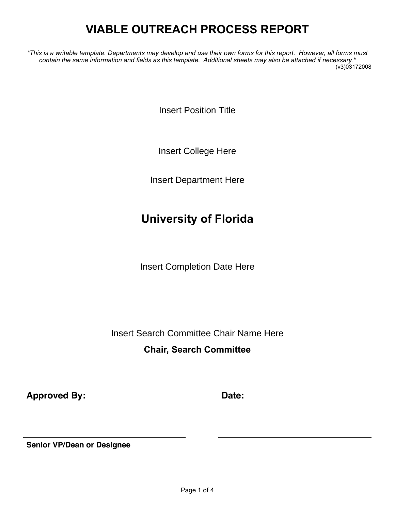# **VIABLE OUTREACH PROCESS REPORT**

*\*This is a writable template. Departments may develop and use their own forms for this report. However, all forms must contain the same information and fields as this template. Additional sheets may also be attached if necessary.\** (v3)03172008

**Insert Position Title** 

*Insert College Here* Insert College Here

*Insert Department Here* Insert Department Here

### **University of Florida**

*Insert Completion Date Here* Insert Completion Date Here

*Insert Search Committee Chair Name Here* Insert Search Committee Chair Name Here

### **Chair, Search Committee**

**Approved By: Date:**

**Senior VP/Dean or Designee**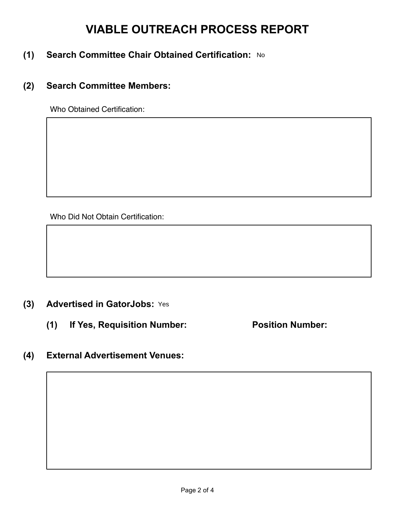## **VIABLE OUTREACH PROCESS REPORT**

- **(1) Search Committee Chair Obtained Certification:**  No
- **(2) Search Committee Members:**

Who Obtained Certification:

Who Did Not Obtain Certification:

### **(3) Advertised in GatorJobs:** Yes

**(1) If Yes, Requisition Number: Position Number:** 

### **(4) External Advertisement Venues:**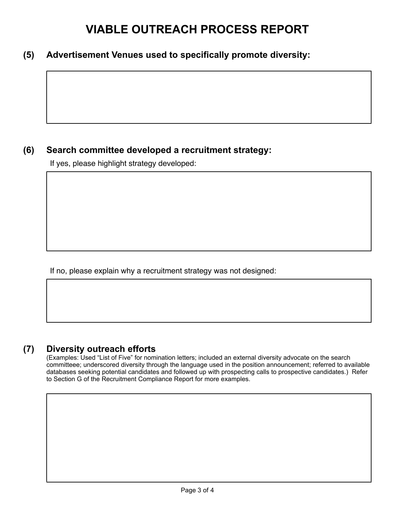## **VIABLE OUTREACH PROCESS REPORT**

#### **(5) Advertisement Venues used to specifically promote diversity:**

### **(6) Search committee developed a recruitment strategy:**

If yes, please highlight strategy developed:

If no, please explain why a recruitment strategy was not designed:

#### **(7) Diversity outreach efforts**

(Examples: Used "List of Five" for nomination letters; included an external diversity advocate on the search committeee; underscored diversity through the language used in the position announcement; referred to available databases seeking potential candidates and followed up with prospecting calls to prospective candidates.) Refer to Section G of the Recruitment Compliance Report for more examples.